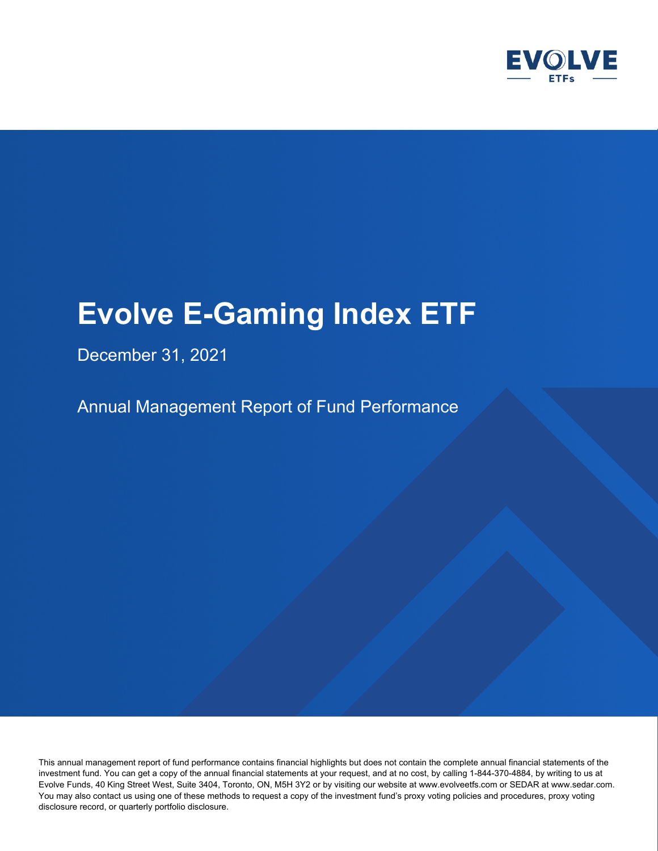

## December 31, 2021

Annual Management Report of Fund Performance

This annual management report of fund performance contains financial highlights but does not contain the complete annual financial statements of the investment fund. You can get a copy of the annual financial statements at your request, and at no cost, by calling 1-844-370-4884, by writing to us at Evolve Funds, 40 King Street West, Suite 3404, Toronto, ON, M5H 3Y2 or by visiting our website at www.evolveetfs.com or SEDAR at www.sedar.com. You may also contact us using one of these methods to request a copy of the investment fund's proxy voting policies and procedures, proxy voting disclosure record, or quarterly portfolio disclosure.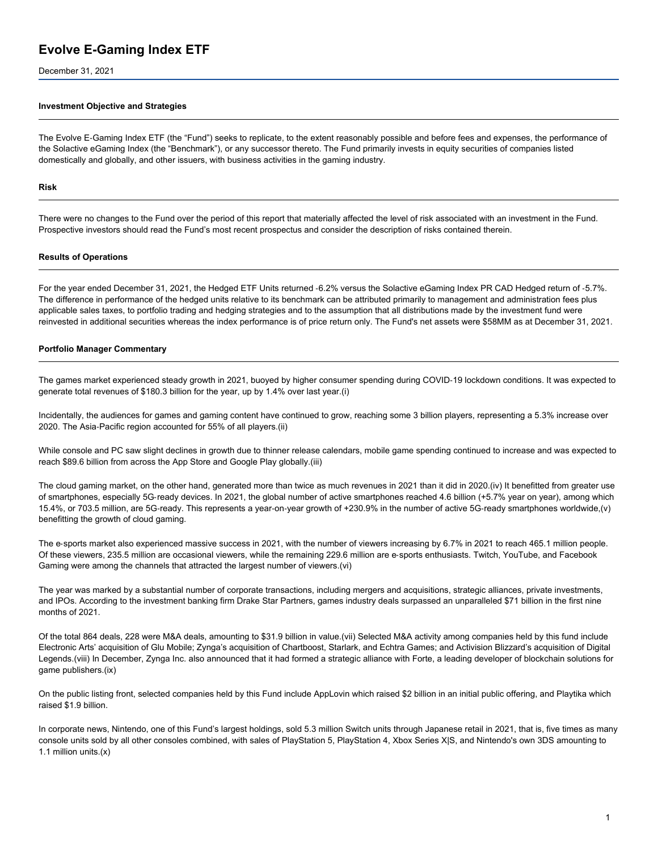December 31, 2021

#### **Investment Objective and Strategies**

The Evolve E‑Gaming Index ETF (the "Fund") seeks to replicate, to the extent reasonably possible and before fees and expenses, the performance of the Solactive eGaming Index (the "Benchmark"), or any successor thereto. The Fund primarily invests in equity securities of companies listed domestically and globally, and other issuers, with business activities in the gaming industry.

#### **Risk**

There were no changes to the Fund over the period of this report that materially affected the level of risk associated with an investment in the Fund. Prospective investors should read the Fund's most recent prospectus and consider the description of risks contained therein.

#### **Results of Operations**

For the year ended December 31, 2021, the Hedged ETF Units returned -6.2% versus the Solactive eGaming Index PR CAD Hedged return of -5.7%. The difference in performance of the hedged units relative to its benchmark can be attributed primarily to management and administration fees plus applicable sales taxes, to portfolio trading and hedging strategies and to the assumption that all distributions made by the investment fund were reinvested in additional securities whereas the index performance is of price return only. The Fund's net assets were \$58MM as at December 31, 2021.

#### **Portfolio Manager Commentary**

The games market experienced steady growth in 2021, buoyed by higher consumer spending during COVID‑19 lockdown conditions. It was expected to generate total revenues of \$180.3 billion for the year, up by 1.4% over last year.(i)

Incidentally, the audiences for games and gaming content have continued to grow, reaching some 3 billion players, representing a 5.3% increase over 2020. The Asia‑Pacific region accounted for 55% of all players.(ii)

While console and PC saw slight declines in growth due to thinner release calendars, mobile game spending continued to increase and was expected to reach \$89.6 billion from across the App Store and Google Play globally.(iii)

The cloud gaming market, on the other hand, generated more than twice as much revenues in 2021 than it did in 2020.(iv) It benefitted from greater use of smartphones, especially 5G‑ready devices. In 2021, the global number of active smartphones reached 4.6 billion (+5.7% year on year), among which 15.4%, or 703.5 million, are 5G‑ready. This represents a year‑on‑year growth of +230.9% in the number of active 5G‑ready smartphones worldwide,(v) benefitting the growth of cloud gaming.

The e‑sports market also experienced massive success in 2021, with the number of viewers increasing by 6.7% in 2021 to reach 465.1 million people. Of these viewers, 235.5 million are occasional viewers, while the remaining 229.6 million are e‑sports enthusiasts. Twitch, YouTube, and Facebook Gaming were among the channels that attracted the largest number of viewers.(vi)

The year was marked by a substantial number of corporate transactions, including mergers and acquisitions, strategic alliances, private investments, and IPOs. According to the investment banking firm Drake Star Partners, games industry deals surpassed an unparalleled \$71 billion in the first nine months of 2021.

Of the total 864 deals, 228 were M&A deals, amounting to \$31.9 billion in value.(vii) Selected M&A activity among companies held by this fund include Electronic Arts' acquisition of Glu Mobile; Zynga's acquisition of Chartboost, Starlark, and Echtra Games; and Activision Blizzard's acquisition of Digital Legends.(viii) In December, Zynga Inc. also announced that it had formed a strategic alliance with Forte, a leading developer of blockchain solutions for game publishers.(ix)

On the public listing front, selected companies held by this Fund include AppLovin which raised \$2 billion in an initial public offering, and Playtika which raised \$1.9 billion.

In corporate news, Nintendo, one of this Fund's largest holdings, sold 5.3 million Switch units through Japanese retail in 2021, that is, five times as many console units sold by all other consoles combined, with sales of PlayStation 5, PlayStation 4, Xbox Series X|S, and Nintendo's own 3DS amounting to 1.1 million units.(x)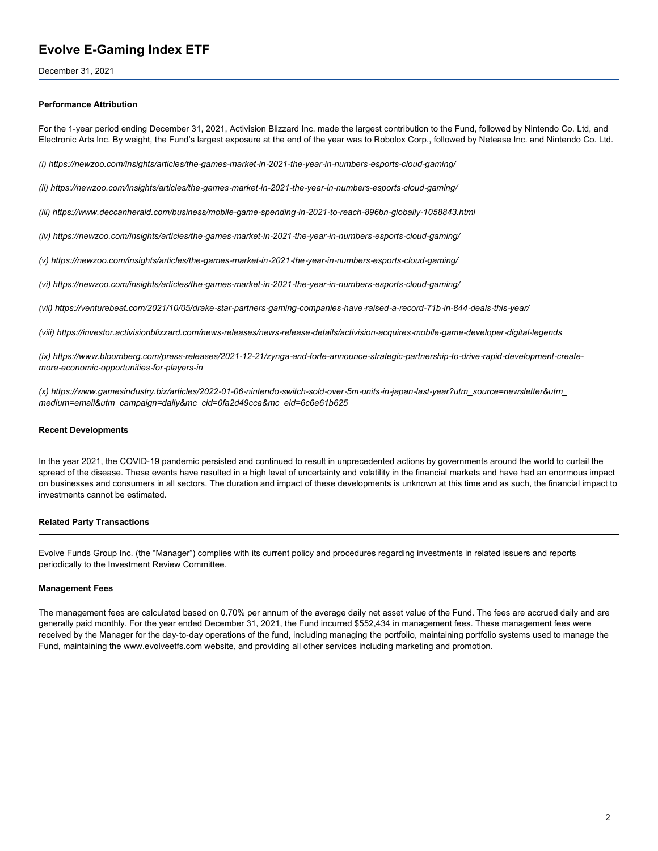December 31, 2021

#### **Performance Attribution**

For the 1‑year period ending December 31, 2021, Activision Blizzard Inc. made the largest contribution to the Fund, followed by Nintendo Co. Ltd, and Electronic Arts Inc. By weight, the Fund's largest exposure at the end of the year was to Robolox Corp., followed by Netease Inc. and Nintendo Co. Ltd.

(i) https://newzoo.com/insights/articles/the-games-market-in-2021-the-year-in-numbers-esports-cloud-gaming/

(ii) https://newzoo.com/insights/articles/the-games-market-in-2021-the-year-in-numbers-esports-cloud-gaming/

(iii) https://www.deccanherald.com/business/mobile-game-spending-in-2021-to-reach-896bn-globally-1058843.html

(iv) https://newzoo.com/insights/articles/the-games-market-in-2021-the-year-in-numbers-esports-cloud-gaming/

(v) https://newzoo.com/insights/articles/the-games-market-in-2021-the-year-in-numbers-esports-cloud-gaming/

(vi) https://newzoo.com/insights/articles/the-games-market-in-2021-the-year-in-numbers-esports-cloud-gaming/

(vii) https://venturebeat.com/2021/10/05/drake-star-partners-gaming-companies-have-raised-a-record-71b-in-844-deals-this-year/

(viii) https://investor.activisionblizzard.com/news-releases/news-release-details/activision-acquires-mobile-game-developer-digital-legends

(ix) https://www.bloomberg.com/press-releases/2021-12-21/zynga-and-forte-announce-strategic-partnership-to-drive-rapid-development-create*more‑economic‑opportunities‑for‑players‑in*

(x) https://www.gamesindustry.biz/articles/2022-01-06-nintendo-switch-sold-over-5m-units-in-japan-last-year?utm\_source=newsletter&utm *medium=email&utm\_campaign=daily&mc\_cid=0fa2d49cca&mc\_eid=6c6e61b625*

#### **Recent Developments**

In the year 2021, the COVID-19 pandemic persisted and continued to result in unprecedented actions by governments around the world to curtail the spread of the disease. These events have resulted in a high level of uncertainty and volatility in the financial markets and have had an enormous impact on businesses and consumers in all sectors. The duration and impact of these developments is unknown at this time and as such, the financial impact to investments cannot be estimated.

#### **Related Party Transactions**

Evolve Funds Group Inc. (the "Manager") complies with its current policy and procedures regarding investments in related issuers and reports periodically to the Investment Review Committee.

#### **Management Fees**

The management fees are calculated based on 0.70% per annum of the average daily net asset value of the Fund. The fees are accrued daily and are generally paid monthly. For the year ended December 31, 2021, the Fund incurred \$552,434 in management fees. These management fees were received by the Manager for the day-to-day operations of the fund, including managing the portfolio, maintaining portfolio systems used to manage the Fund, maintaining the www.evolveetfs.com website, and providing all other services including marketing and promotion.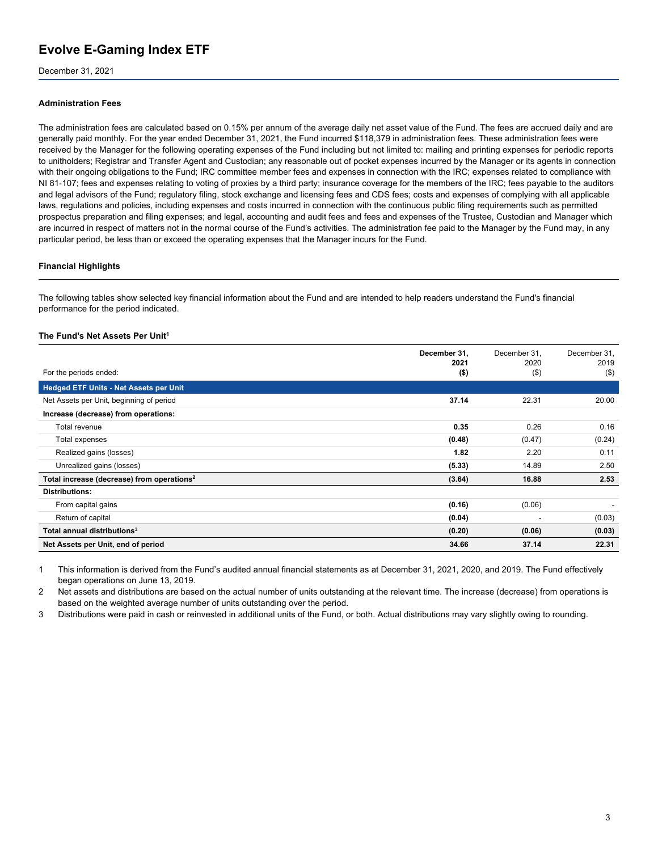December 31, 2021

#### **Administration Fees**

The administration fees are calculated based on 0.15% per annum of the average daily net asset value of the Fund. The fees are accrued daily and are generally paid monthly. For the year ended December 31, 2021, the Fund incurred \$118,379 in administration fees. These administration fees were received by the Manager for the following operating expenses of the Fund including but not limited to: mailing and printing expenses for periodic reports to unitholders; Registrar and Transfer Agent and Custodian; any reasonable out of pocket expenses incurred by the Manager or its agents in connection with their ongoing obligations to the Fund; IRC committee member fees and expenses in connection with the IRC; expenses related to compliance with NI 81‑107; fees and expenses relating to voting of proxies by a third party; insurance coverage for the members of the IRC; fees payable to the auditors and legal advisors of the Fund; regulatory filing, stock exchange and licensing fees and CDS fees; costs and expenses of complying with all applicable laws, regulations and policies, including expenses and costs incurred in connection with the continuous public filing requirements such as permitted prospectus preparation and filing expenses; and legal, accounting and audit fees and fees and expenses of the Trustee, Custodian and Manager which are incurred in respect of matters not in the normal course of the Fund's activities. The administration fee paid to the Manager by the Fund may, in any particular period, be less than or exceed the operating expenses that the Manager incurs for the Fund.

#### **Financial Highlights**

The following tables show selected key financial information about the Fund and are intended to help readers understand the Fund's financial performance for the period indicated.

#### **The Fund's Net Assets Per Unit<sup>1</sup>**

|                                                        | December 31,<br>2021 | December 31.<br>2020 | December 31.<br>2019 |
|--------------------------------------------------------|----------------------|----------------------|----------------------|
| For the periods ended:                                 | $($ \$)              | $($ \$)              | $($ \$)              |
| <b>Hedged ETF Units - Net Assets per Unit</b>          |                      |                      |                      |
| Net Assets per Unit, beginning of period               | 37.14                | 22.31                | 20.00                |
| Increase (decrease) from operations:                   |                      |                      |                      |
| Total revenue                                          | 0.35                 | 0.26                 | 0.16                 |
| Total expenses                                         | (0.48)               | (0.47)               | (0.24)               |
| Realized gains (losses)                                | 1.82                 | 2.20                 | 0.11                 |
| Unrealized gains (losses)                              | (5.33)               | 14.89                | 2.50                 |
| Total increase (decrease) from operations <sup>2</sup> | (3.64)               | 16.88                | 2.53                 |
| <b>Distributions:</b>                                  |                      |                      |                      |
| From capital gains                                     | (0.16)               | (0.06)               |                      |
| Return of capital                                      | (0.04)               | -                    | (0.03)               |
| Total annual distributions <sup>3</sup>                | (0.20)               | (0.06)               | (0.03)               |
| Net Assets per Unit, end of period                     | 34.66                | 37.14                | 22.31                |

1 This information is derived from the Fund's audited annual financial statements as at December 31, 2021, 2020, and 2019. The Fund effectively began operations on June 13, 2019.

2 Net assets and distributions are based on the actual number of units outstanding at the relevant time. The increase (decrease) from operations is based on the weighted average number of units outstanding over the period.

3 Distributions were paid in cash or reinvested in additional units of the Fund, or both. Actual distributions may vary slightly owing to rounding.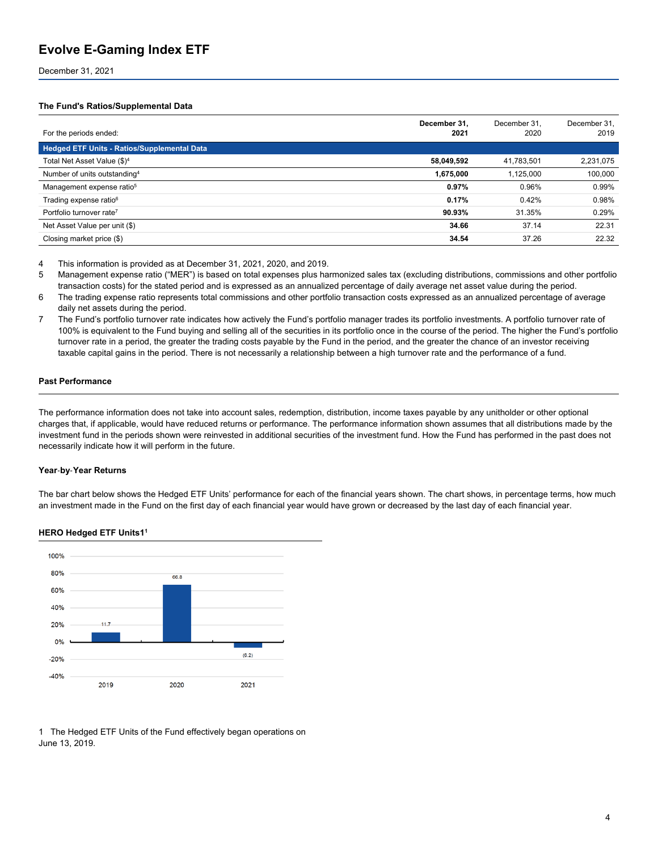December 31, 2021

#### **The Fund's Ratios/Supplemental Data**

| For the periods ended:                      | December 31,<br>2021 | December 31.<br>2020 | December 31,<br>2019 |
|---------------------------------------------|----------------------|----------------------|----------------------|
| Hedged ETF Units - Ratios/Supplemental Data |                      |                      |                      |
| Total Net Asset Value (\$) <sup>4</sup>     | 58,049,592           | 41,783,501           | 2,231,075            |
| Number of units outstanding <sup>4</sup>    | 1,675,000            | 1,125,000            | 100,000              |
| Management expense ratio <sup>5</sup>       | 0.97%                | 0.96%                | 0.99%                |
| Trading expense ratio <sup>6</sup>          | 0.17%                | 0.42%                | 0.98%                |
| Portfolio turnover rate <sup>7</sup>        | 90.93%               | 31.35%               | 0.29%                |
| Net Asset Value per unit (\$)               | 34.66                | 37.14                | 22.31                |
| Closing market price (\$)                   | 34.54                | 37.26                | 22.32                |

4 This information is provided as at December 31, 2021, 2020, and 2019.

5 Management expense ratio ("MER") is based on total expenses plus harmonized sales tax (excluding distributions, commissions and other portfolio transaction costs) for the stated period and is expressed as an annualized percentage of daily average net asset value during the period.

- 6 The trading expense ratio represents total commissions and other portfolio transaction costs expressed as an annualized percentage of average daily net assets during the period.
- 7 The Fund's portfolio turnover rate indicates how actively the Fund's portfolio manager trades its portfolio investments. A portfolio turnover rate of 100% is equivalent to the Fund buying and selling all of the securities in its portfolio once in the course of the period. The higher the Fund's portfolio turnover rate in a period, the greater the trading costs payable by the Fund in the period, and the greater the chance of an investor receiving taxable capital gains in the period. There is not necessarily a relationship between a high turnover rate and the performance of a fund.

#### **Past Performance**

The performance information does not take into account sales, redemption, distribution, income taxes payable by any unitholder or other optional charges that, if applicable, would have reduced returns or performance. The performance information shown assumes that all distributions made by the investment fund in the periods shown were reinvested in additional securities of the investment fund. How the Fund has performed in the past does not necessarily indicate how it will perform in the future.

#### **Year**‑**by**‑**Year Returns**

The bar chart below shows the Hedged ETF Units' performance for each of the financial years shown. The chart shows, in percentage terms, how much an investment made in the Fund on the first day of each financial year would have grown or decreased by the last day of each financial year.

#### **HERO Hedged ETF Units1<sup>1</sup>**



1 The Hedged ETF Units of the Fund effectively began operations on June 13, 2019.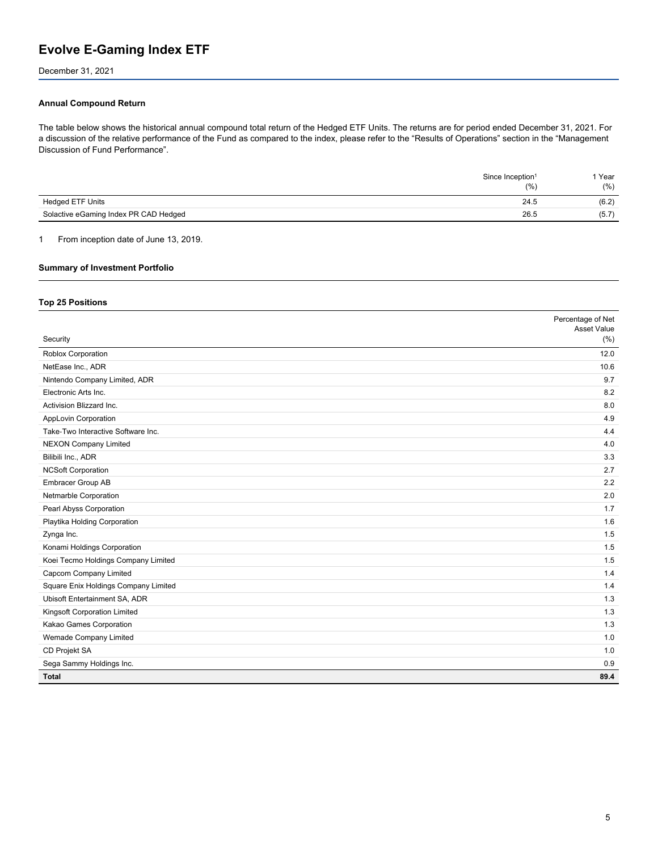December 31, 2021

#### **Annual Compound Return**

The table below shows the historical annual compound total return of the Hedged ETF Units. The returns are for period ended December 31, 2021. For a discussion of the relative performance of the Fund as compared to the index, please refer to the "Results of Operations" section in the "Management Discussion of Fund Performance".

| Since Inception <sup>1</sup>          | 1 Year<br>(%)<br>(% ) |  |
|---------------------------------------|-----------------------|--|
| <b>Hedged ETF Units</b>               | (6.2)<br>24.5         |  |
| Solactive eGaming Index PR CAD Hedged | 26.5<br>(5.7)         |  |

1 From inception date of June 13, 2019.

#### **Summary of Investment Portfolio**

#### **Top 25 Positions**

|                                      | Percentage of Net<br>Asset Value |
|--------------------------------------|----------------------------------|
| Security                             | (% )                             |
| Roblox Corporation                   | 12.0                             |
| NetEase Inc., ADR                    | 10.6                             |
| Nintendo Company Limited, ADR        | 9.7                              |
| Electronic Arts Inc.                 | 8.2                              |
| Activision Blizzard Inc.             | 8.0                              |
| AppLovin Corporation                 | 4.9                              |
| Take-Two Interactive Software Inc.   | 4.4                              |
| <b>NEXON Company Limited</b>         | 4.0                              |
| Bilibili Inc., ADR                   | 3.3                              |
| <b>NCSoft Corporation</b>            | 2.7                              |
| Embracer Group AB                    | 2.2                              |
| Netmarble Corporation                | 2.0                              |
| Pearl Abyss Corporation              | 1.7                              |
| Playtika Holding Corporation         | 1.6                              |
| Zynga Inc.                           | 1.5                              |
| Konami Holdings Corporation          | 1.5                              |
| Koei Tecmo Holdings Company Limited  | 1.5                              |
| Capcom Company Limited               | 1.4                              |
| Square Enix Holdings Company Limited | 1.4                              |
| Ubisoft Entertainment SA, ADR        | 1.3                              |
| Kingsoft Corporation Limited         | 1.3                              |
| Kakao Games Corporation              | 1.3                              |
| Wemade Company Limited               | 1.0                              |
| CD Projekt SA                        | 1.0                              |
| Sega Sammy Holdings Inc.             | 0.9                              |
| Total                                | 89.4                             |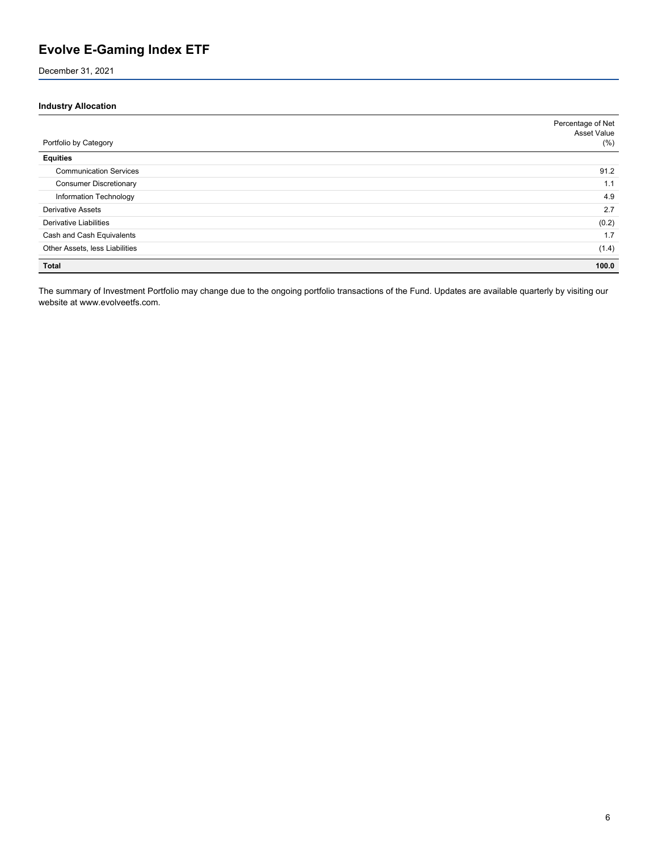December 31, 2021

#### **Industry Allocation**

|                                | Percentage of Net<br>Asset Value |
|--------------------------------|----------------------------------|
| Portfolio by Category          | (%)                              |
| <b>Equities</b>                |                                  |
| <b>Communication Services</b>  | 91.2                             |
| <b>Consumer Discretionary</b>  | 1.1                              |
| Information Technology         | 4.9                              |
| <b>Derivative Assets</b>       | 2.7                              |
| <b>Derivative Liabilities</b>  | (0.2)                            |
| Cash and Cash Equivalents      | 1.7                              |
| Other Assets, less Liabilities | (1.4)                            |
| <b>Total</b>                   | 100.0                            |

The summary of Investment Portfolio may change due to the ongoing portfolio transactions of the Fund. Updates are available quarterly by visiting our website at www.evolveetfs.com.